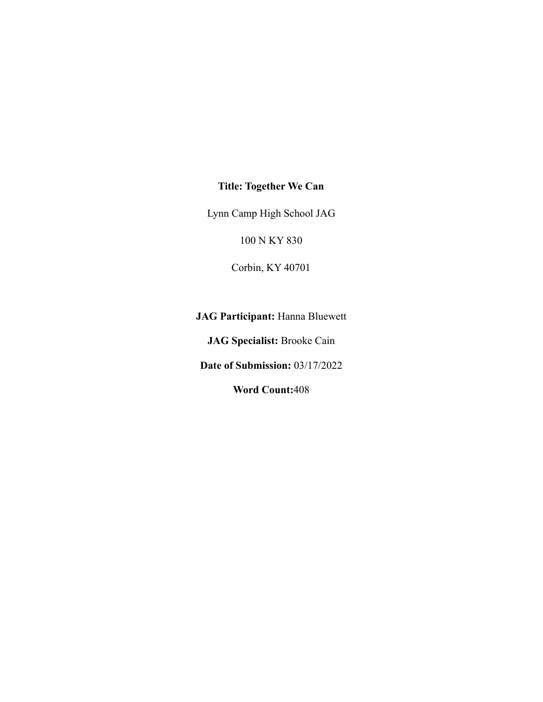## **Title: Together We Can**

Lynn Camp High School JAG

100 N KY 830

Corbin, KY 40701

**JAG Participant:** Hanna Bluewett

**JAG Specialist:** Brooke Cain

**Date of Submission:** 03/17/2022

**Word Count:**408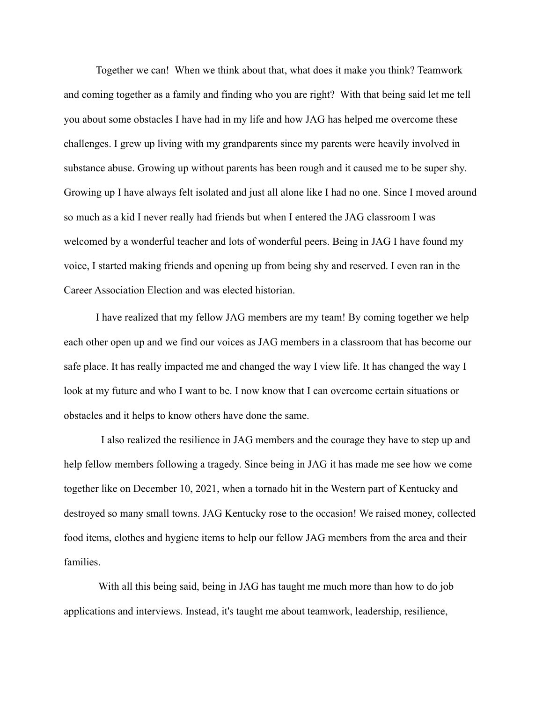Together we can! When we think about that, what does it make you think? Teamwork and coming together as a family and finding who you are right? With that being said let me tell you about some obstacles I have had in my life and how JAG has helped me overcome these challenges. I grew up living with my grandparents since my parents were heavily involved in substance abuse. Growing up without parents has been rough and it caused me to be super shy. Growing up I have always felt isolated and just all alone like I had no one. Since I moved around so much as a kid I never really had friends but when I entered the JAG classroom I was welcomed by a wonderful teacher and lots of wonderful peers. Being in JAG I have found my voice, I started making friends and opening up from being shy and reserved. I even ran in the Career Association Election and was elected historian.

I have realized that my fellow JAG members are my team! By coming together we help each other open up and we find our voices as JAG members in a classroom that has become our safe place. It has really impacted me and changed the way I view life. It has changed the way I look at my future and who I want to be. I now know that I can overcome certain situations or obstacles and it helps to know others have done the same.

I also realized the resilience in JAG members and the courage they have to step up and help fellow members following a tragedy. Since being in JAG it has made me see how we come together like on December 10, 2021, when a tornado hit in the Western part of Kentucky and destroyed so many small towns. JAG Kentucky rose to the occasion! We raised money, collected food items, clothes and hygiene items to help our fellow JAG members from the area and their families.

With all this being said, being in JAG has taught me much more than how to do job applications and interviews. Instead, it's taught me about teamwork, leadership, resilience,